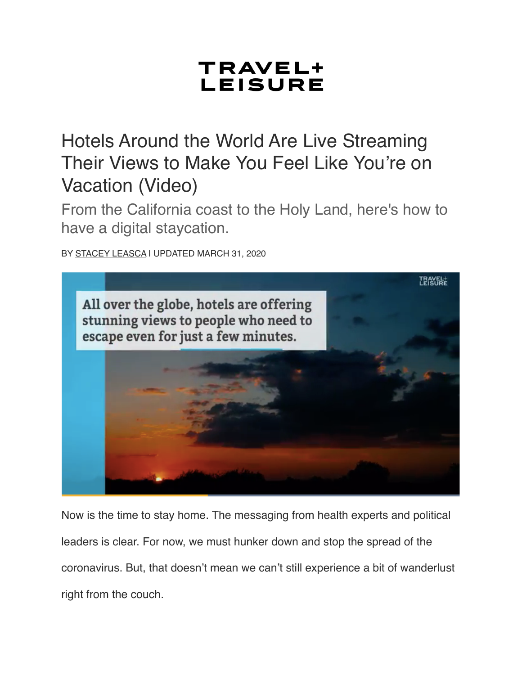## TRAVEL+ **LEISURE**

Hotels Around the World Are Live Streaming Their Views to Make You Feel Like You're on Vacation (Video)

From the California coast to the Holy Land, here's how to have a digital staycation.

BY [STACEY LEASCA](https://www.travelandleisure.com/author/stacey-leasca) | UPDATED MARCH 31, 2020



Now is the time to stay home. The messaging from health experts and political leaders is clear. For now, we must hunker down and stop the spread of the coronavirus. But, that doesn't mean we can't still experience a bit of wanderlust right from the couch.